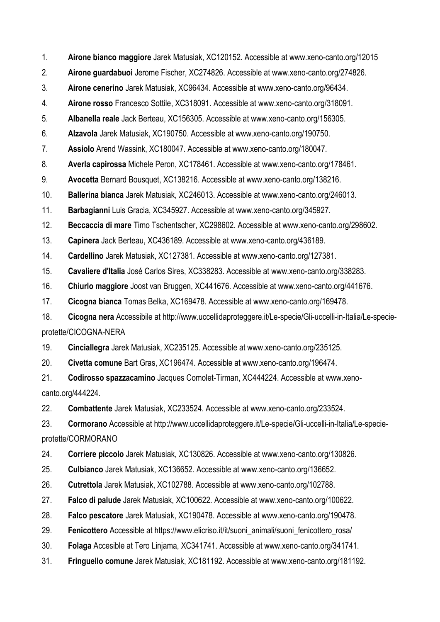- 1. **Airone bianco maggiore** Jarek Matusiak, XC120152. Accessible at www.xeno-canto.org/12015
- 2. **Airone guardabuoi** Jerome Fischer, XC274826. Accessible at www.xeno-canto.org/274826.
- 3. **Airone cenerino** Jarek Matusiak, XC96434. Accessible at www.xeno-canto.org/96434.

4. **Airone rosso** Francesco Sottile, XC318091. Accessible at www.xeno-canto.org/318091.

5. **Albanella reale** Jack Berteau, XC156305. Accessible at www.xeno-canto.org/156305.

6. **Alzavola** Jarek Matusiak, XC190750. Accessible at www.xeno-canto.org/190750.

7. **Assiolo** Arend Wassink, XC180047. Accessible at www.xeno-canto.org/180047.

8. **Averla capirossa** Michele Peron, XC178461. Accessible at www.xeno-canto.org/178461.

9. **Avocetta** Bernard Bousquet, XC138216. Accessible at www.xeno-canto.org/138216.

10. **Ballerina bianca** Jarek Matusiak, XC246013. Accessible at www.xeno-canto.org/246013.

11. **Barbagianni** Luis Gracia, XC345927. Accessible at www.xeno-canto.org/345927.

12. **Beccaccia di mare** Timo Tschentscher, XC298602. Accessible at www.xeno-canto.org/298602.

13. **Capinera** Jack Berteau, XC436189. Accessible at www.xeno-canto.org/436189.

14. **Cardellino** Jarek Matusiak, XC127381. Accessible at www.xeno-canto.org/127381.

15. **Cavaliere d'Italia** José Carlos Sires, XC338283. Accessible at www.xeno-canto.org/338283.

16. **Chiurlo maggiore** Joost van Bruggen, XC441676. Accessible at www.xeno-canto.org/441676.

17. **Cicogna bianca** Tomas Belka, XC169478. Accessible at www.xeno-canto.org/169478.

18. **Cicogna nera** Accessibile at http://www.uccellidaproteggere.it/Le-specie/Gli-uccelli-in-Italia/Le-specieprotette/CICOGNA-NERA

19. **Cinciallegra** Jarek Matusiak, XC235125. Accessible at www.xeno-canto.org/235125.

20. **Civetta comune** Bart Gras, XC196474. Accessible at www.xeno-canto.org/196474.

21. **Codirosso spazzacamino** Jacques Comolet-Tirman, XC444224. Accessible at www.xenocanto.org/444224.

22. **Combattente** Jarek Matusiak, XC233524. Accessible at www.xeno-canto.org/233524.

23. **Cormorano** Accessible at http://www.uccellidaproteggere.it/Le-specie/Gli-uccelli-in-Italia/Le-specieprotette/CORMORANO

24. **Corriere piccolo** Jarek Matusiak, XC130826. Accessible at www.xeno-canto.org/130826.

25. **Culbianco** Jarek Matusiak, XC136652. Accessible at www.xeno-canto.org/136652.

26. **Cutrettola** Jarek Matusiak, XC102788. Accessible at www.xeno-canto.org/102788.

27. **Falco di palude** Jarek Matusiak, XC100622. Accessible at www.xeno-canto.org/100622.

28. **Falco pescatore** Jarek Matusiak, XC190478. Accessible at www.xeno-canto.org/190478.

29. **Fenicottero** Accessible at https://www.elicriso.it/it/suoni\_animali/suoni\_fenicottero\_rosa/

30. **Folaga** Accesible at Tero Linjama, XC341741. Accessible at www.xeno-canto.org/341741.

31. **Fringuello comune** Jarek Matusiak, XC181192. Accessible at www.xeno-canto.org/181192.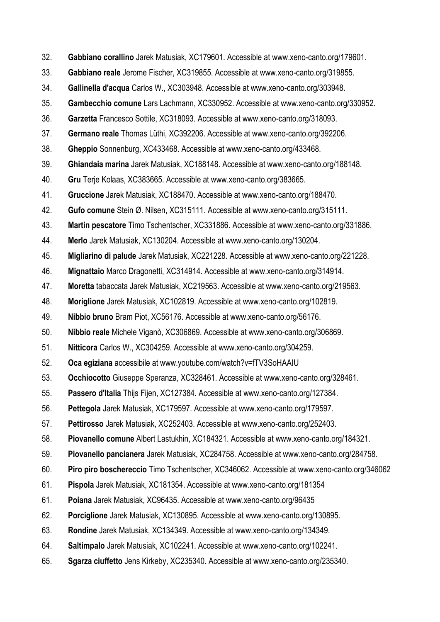- 32. **Gabbiano corallino** Jarek Matusiak, XC179601. Accessible at www.xeno-canto.org/179601.
- 33. **Gabbiano reale** Jerome Fischer, XC319855. Accessible at www.xeno-canto.org/319855.
- 34. **Gallinella d'acqua** Carlos W., XC303948. Accessible at www.xeno-canto.org/303948.
- 35. **Gambecchio comune** Lars Lachmann, XC330952. Accessible at www.xeno-canto.org/330952.
- 36. **Garzetta** Francesco Sottile, XC318093. Accessible at www.xeno-canto.org/318093.
- 37. **Germano reale** Thomas Lüthi, XC392206. Accessible at www.xeno-canto.org/392206.
- 38. **Gheppio** Sonnenburg, XC433468. Accessible at www.xeno-canto.org/433468.
- 39. **Ghiandaia marina** Jarek Matusiak, XC188148. Accessible at www.xeno-canto.org/188148.
- 40. **Gru** Terje Kolaas, XC383665. Accessible at www.xeno-canto.org/383665.
- 41. **Gruccione** Jarek Matusiak, XC188470. Accessible at www.xeno-canto.org/188470.
- 42. **Gufo comune** Stein Ø. Nilsen, XC315111. Accessible at www.xeno-canto.org/315111.
- 43. **Martin pescatore** Timo Tschentscher, XC331886. Accessible at www.xeno-canto.org/331886.
- 44. **Merlo** Jarek Matusiak, XC130204. Accessible at www.xeno-canto.org/130204.
- 45. **Migliarino di palude** Jarek Matusiak, XC221228. Accessible at www.xeno-canto.org/221228.
- 46. **Mignattaio** Marco Dragonetti, XC314914. Accessible at www.xeno-canto.org/314914.
- 47. **Moretta** tabaccata Jarek Matusiak, XC219563. Accessible at www.xeno-canto.org/219563.
- 48. **Moriglione** Jarek Matusiak, XC102819. Accessible at www.xeno-canto.org/102819.
- 49. **Nibbio bruno** Bram Piot, XC56176. Accessible at www.xeno-canto.org/56176.
- 50. **Nibbio reale** Michele Viganò, XC306869. Accessible at www.xeno-canto.org/306869.
- 51. **Nitticora** Carlos W., XC304259. Accessible at www.xeno-canto.org/304259.
- 52. **Oca egiziana** accessibile at www.youtube.com/watch?v=fTV3SoHAAIU
- 53. **Occhiocotto** Giuseppe Speranza, XC328461. Accessible at www.xeno-canto.org/328461.
- 55. **Passero d'Italia** Thijs Fijen, XC127384. Accessible at www.xeno-canto.org/127384.
- 56. **Pettegola** Jarek Matusiak, XC179597. Accessible at www.xeno-canto.org/179597.
- 57. **Pettirosso** Jarek Matusiak, XC252403. Accessible at www.xeno-canto.org/252403.
- 58. **Piovanello comune** Albert Lastukhin, XC184321. Accessible at www.xeno-canto.org/184321.
- 59. **Piovanello pancianera** Jarek Matusiak, XC284758. Accessible at www.xeno-canto.org/284758.
- 60. **Piro piro boschereccio** Timo Tschentscher, XC346062. Accessible at www.xeno-canto.org/346062
- 61. **Pispola** Jarek Matusiak, XC181354. Accessible at www.xeno-canto.org/181354
- 61. **Poiana** Jarek Matusiak, XC96435. Accessible at www.xeno-canto.org/96435
- 62. **Porciglione** Jarek Matusiak, XC130895. Accessible at www.xeno-canto.org/130895.
- 63. **Rondine** Jarek Matusiak, XC134349. Accessible at www.xeno-canto.org/134349.
- 64. **Saltimpalo** Jarek Matusiak, XC102241. Accessible at www.xeno-canto.org/102241.
- 65. **Sgarza ciuffetto** Jens Kirkeby, XC235340. Accessible at www.xeno-canto.org/235340.